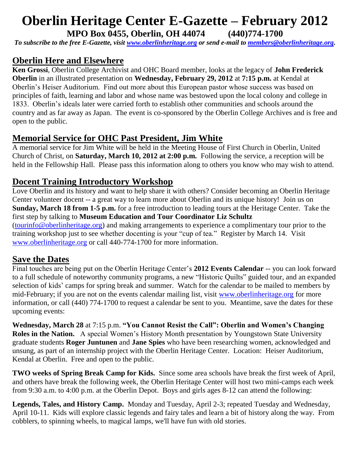# **Oberlin Heritage Center E-Gazette – February 2012**

**MPO Box 0455, Oberlin, OH 44074 (440)774-1700**

*To subscribe to the free E-Gazette, visit [www.oberlinheritage.org](http://www.oberlinheritage.org/) or send e-mail to [members@oberlinheritage.org.](mailto:members@oberlinheritage.org)*

#### **Oberlin Here and Elsewhere**

**Ken Grossi**, Oberlin College Archivist and OHC Board member, looks at the legacy of **John Frederick Oberlin** in an illustrated presentation on **Wednesday, February 29, 2012** at **7:15 p.m.** at Kendal at Oberlin"s Heiser Auditorium. Find out more about this European pastor whose success was based on principles of faith, learning and labor and whose name was bestowed upon the local colony and college in 1833. Oberlin"s ideals later were carried forth to establish other communities and schools around the country and as far away as Japan. The event is co-sponsored by the Oberlin College Archives and is free and open to the public.

## **Memorial Service for OHC Past President, Jim White**

A memorial service for Jim White will be held in the Meeting House of First Church in Oberlin, United Church of Christ, on **Saturday, March 10, 2012 at 2:00 p.m.** Following the service, a reception will be held in the Fellowship Hall. Please pass this information along to others you know who may wish to attend.

#### **Docent Training Introductory Workshop**

Love Oberlin and its history and want to help share it with others? Consider becoming an Oberlin Heritage Center volunteer docent -- a great way to learn more about Oberlin and its unique history! Join us on **Sunday, March 18 from 1-5 p.m.** for a free introduction to leading tours at the Heritage Center. Take the first step by talking to **Museum Education and Tour Coordinator Liz Schultz** [\(tourinfo@oberlinheritage.org\)](mailto:tourinfo@oberlinheritage.org) and making arrangements to experience a complimentary tour prior to the training workshop just to see whether docenting is your "cup of tea." Register by March 14. Visit [www.oberlinheritage.org](http://www.oberlinheritage.org/) or call 440-774-1700 for more information.

#### **Save the Dates**

Final touches are being put on the Oberlin Heritage Center"s **2012 Events Calendar** -- you can look forward to a full schedule of noteworthy community programs, a new "Historic Quilts" guided tour, and an expanded selection of kids' camps for spring break and summer. Watch for the calendar to be mailed to members by mid-February; if you are not on the events calendar mailing list, visit [www.oberlinheritage.org](http://www.oberlinheritage.org/) for more information, or call (440) 774-1700 to request a calendar be sent to you. Meantime, save the dates for these upcoming events:

**Wednesday, March 28** at 7:15 p.m. **"You Cannot Resist the Call": Oberlin and Women's Changing Roles in the Nation.** A special Women"s History Month presentation by Youngstown State University graduate students **Roger Juntunen** and **Jane Spies** who have been researching women, acknowledged and unsung, as part of an internship project with the Oberlin Heritage Center. Location: Heiser Auditorium, Kendal at Oberlin. Free and open to the public.

**TWO weeks of Spring Break Camp for Kids.** Since some area schools have break the first week of April, and others have break the following week, the Oberlin Heritage Center will host two mini-camps each week from 9:30 a.m. to 4:00 p.m. at the Oberlin Depot. Boys and girls ages 8-12 can attend the following:

**Legends, Tales, and History Camp.** Monday and Tuesday, April 2-3; repeated Tuesday and Wednesday, April 10-11. Kids will explore classic legends and fairy tales and learn a bit of history along the way. From cobblers, to spinning wheels, to magical lamps, we'll have fun with old stories.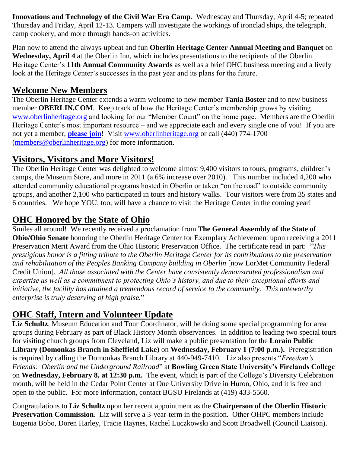**Innovations and Technology of the Civil War Era Camp**. Wednesday and Thursday, April 4-5; repeated Thursday and Friday, April 12-13. Campers will investigate the workings of ironclad ships, the telegraph, camp cookery, and more through hands-on activities.

Plan now to attend the always-upbeat and fun **Oberlin Heritage Center Annual Meeting and Banquet** on **Wednesday, April 4** at the Oberlin Inn, which includes presentations to the recipients of the Oberlin Heritage Center"s **11th Annual Community Awards** as well as a brief OHC business meeting and a lively look at the Heritage Center's successes in the past year and its plans for the future.

#### **Welcome New Members**

The Oberlin Heritage Center extends a warm welcome to new member **Tania Boster** and to new business member **OBERLIN.COM**. Keep track of how the Heritage Center's membership grows by visiting [www.oberlinheritage.org](http://www.oberlinheritage.org/) and looking for our "Member Count" on the home page. Members are the Oberlin Heritage Center's most important resource – and we appreciate each and every single one of you! If you are not yet a member, **[please join](http://www.oberlinheritage.org/getinvolved/join)**! Visit [www.oberlinheritage.org](http://www.oberlinheritage.org/) or call (440) 774-1700 [\(members@oberlinheritage.org\)](mailto:members@oberlinheritage.org) for more information.

#### **Visitors, Visitors and More Visitors!**

The Oberlin Heritage Center was delighted to welcome almost 9,400 visitors to tours, programs, children's camps, the Museum Store, and more in 2011 (a 6% increase over 2010). This number included 4,200 who attended community educational programs hosted in Oberlin or taken "on the road" to outside community groups, and another 2,100 who participated in tours and history walks. Tour visitors were from 35 states and 6 countries. We hope YOU, too, will have a chance to visit the Heritage Center in the coming year!

## **OHC Honored by the State of Ohio**

Smiles all around! We recently received a proclamation from **The General Assembly of the State of Ohio/Ohio Senate** honoring the Oberlin Heritage Center for Exemplary Achievement upon receiving a 2011 Preservation Merit Award from the Ohio Historic Preservation Office. The certificate read in part: "*This prestigious honor is a fitting tribute to the Oberlin Heritage Center for its contributions to the preservation and rehabilitation of the Peoples Banking Company building in Oberlin* [now LorMet Community Federal Credit Union]*. All those associated with the Center have consistently demonstrated professionalism and expertise as well as a commitment to protecting Ohio's history, and due to their exceptional efforts and initiative, the facility has attained a tremendous record of service to the community. This noteworthy enterprise is truly deserving of high praise.*"

# **OHC Staff, Intern and Volunteer Update**

**Liz Schultz**, Museum Education and Tour Coordinator, will be doing some special programming for area groups during February as part of Black History Month observances. In addition to leading two special tours for visiting church groups from Cleveland, Liz will make a public presentation for the **Lorain Public Library (Domonkas Branch in Sheffield Lake)** on **Wednesday, February 1 (7:00 p.m.).** Preregistration is required by calling the Domonkas Branch Library at 440-949-7410. Liz also presents "*Freedom's Friends: Oberlin and the Underground Railroad*" at **Bowling Green State University's Firelands College** on **Wednesday, February 8, at 12:30 p.m.** The event, which is part of the College"s Diversity Celebration month, will be held in the Cedar Point Center at One University Drive in Huron, Ohio, and it is free and open to the public. For more information, contact BGSU Firelands at (419) 433-5560.

Congratulations to **Liz Schultz** upon her recent appointment as the **Chairperson of the Oberlin Historic Preservation Commission**. Liz will serve a 3-year-term in the position. Other OHPC members include Eugenia Bobo, Doren Harley, Tracie Haynes, Rachel Luczkowski and Scott Broadwell (Council Liaison).